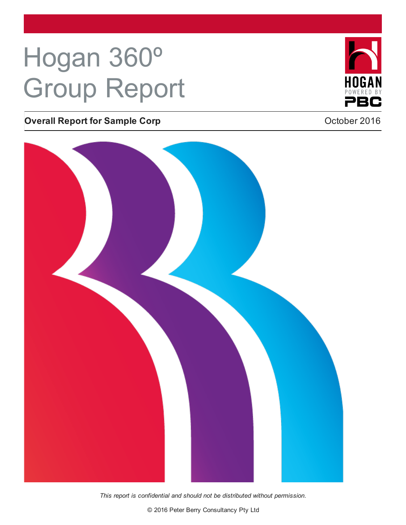# Hogan 360º Group Report

### **Overall Report for Sample Corp Corp Contract 2016 October 2016**

*This report is confidential and should not be distributed without permission.*

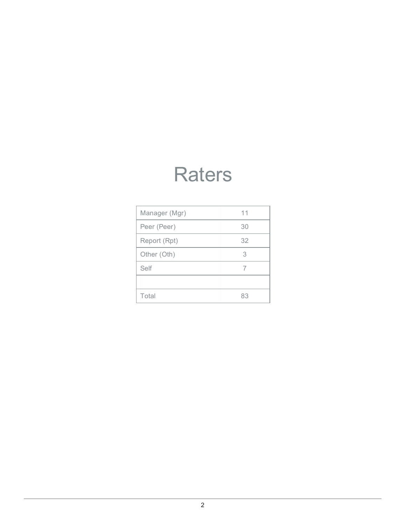### **Raters**

| Manager (Mgr) | 11 |
|---------------|----|
| Peer (Peer)   | 30 |
| Report (Rpt)  | 32 |
| Other (Oth)   | 3  |
| Self          | 7  |
|               |    |
| Total         | 83 |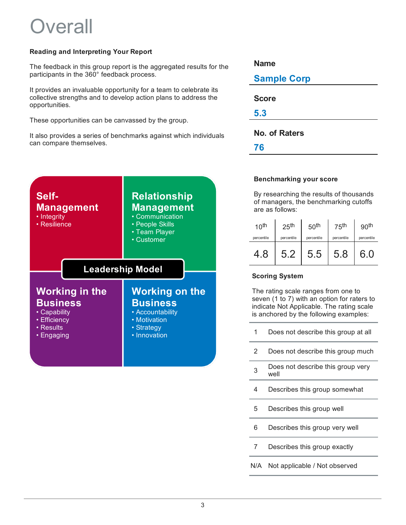### **Dverall**

#### **Reading and Interpreting Your Report**

The feedback in this group report is the aggregated results for the participants in the 360° feedback process.

It provides an invaluable opportunity for a team to celebrate its collective strengths and to develop action plans to address the opportunities.

These opportunities can be canvassed by the group.

It also provides a series of benchmarks against which individuals can compare themselves.



| <b>Name</b>          |  |
|----------------------|--|
| <b>Sample Corp</b>   |  |
| <b>Score</b>         |  |
| 5.3                  |  |
| <b>No. of Raters</b> |  |
| 76                   |  |

#### **Benchmarking your score**

By researching the results of thousands of managers, the benchmarking cutoffs are as follows:

| 10 <sup>th</sup> | 25 <sup>th</sup> | 50 <sup>th</sup> | 75 <sup>th</sup> | 90 <sup>th</sup> |
|------------------|------------------|------------------|------------------|------------------|
| percentile       | percentile       | percentile       | percentile       | percentile       |
| 4.8              | 5.2              | 5.5              | 5.8              | 6.0              |

#### **Scoring System**

The rating scale ranges from one to seven (1 to 7) with an option for raters to indicate Not Applicable. The rating scale is anchored by the following examples:

- Does not describe this group at all 1
- Does not describe this group much 2
- Does not describe this group very well 3
- Describes this group somewhat 4
- Describes this group well 5
- Describes this group very well 6
- Describes this group exactly 7
- N/A Not applicable / Not observed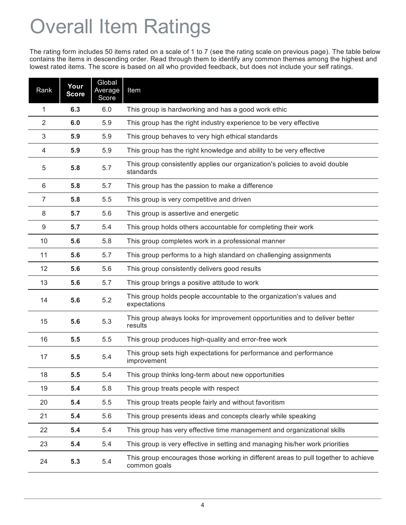## Overall Item Ratings

The rating form includes 50 items rated on a scale of 1 to 7 (see the rating scale on previous page). The table below contains the items in descending order. Read through them to identify any common themes among the highest and lowest rated items. The score is based on all who provided feedback, but does not include your self ratings.

| Rank | Your<br><b>Score</b> | Global<br>Average<br>Score | Item                                                                                               |
|------|----------------------|----------------------------|----------------------------------------------------------------------------------------------------|
| 1    | 6.3                  | 6.0                        | This group is hardworking and has a good work ethic                                                |
| 2    | 6.0                  | 5.9                        | This group has the right industry experience to be very effective                                  |
| 3    | 5.9                  | 5.9                        | This group behaves to very high ethical standards                                                  |
| 4    | 5.9                  | 5.9                        | This group has the right knowledge and ability to be very effective                                |
| 5    | 5.8                  | 5.7                        | This group consistently applies our organization's policies to avoid double<br>standards           |
| 6    | 5.8                  | 5.7                        | This group has the passion to make a difference                                                    |
| 7    | 5.8                  | 5.5                        | This group is very competitive and driven                                                          |
| 8    | 5.7                  | 5.6                        | This group is assertive and energetic                                                              |
| 9    | 5.7                  | 5.4                        | This group holds others accountable for completing their work                                      |
| 10   | 5.6                  | 5.8                        | This group completes work in a professional manner                                                 |
| 11   | 5.6                  | 5.7                        | This group performs to a high standard on challenging assignments                                  |
| 12   | 5.6                  | 5.6                        | This group consistently delivers good results                                                      |
| 13   | 5.6                  | 5.7                        | This group brings a positive attitude to work                                                      |
| 14   | 5.6                  | 5.2                        | This group holds people accountable to the organization's values and<br>expectations               |
| 15   | 5.6                  | 5.3                        | This group always looks for improvement opportunities and to deliver better<br>results             |
| 16   | 5.5                  | 5.5                        | This group produces high-quality and error-free work                                               |
| 17   | 5.5                  | 5.4                        | This group sets high expectations for performance and performance<br>improvement                   |
| 18   | 5.5                  | 5.4                        | This group thinks long-term about new opportunities                                                |
| 19   | 5.4                  | 5.8                        | This group treats people with respect                                                              |
| 20   | 5.4                  | 5.5                        | This group treats people fairly and without favoritism                                             |
| 21   | 5.4                  | 5.6                        | This group presents ideas and concepts clearly while speaking                                      |
| 22   | 5.4                  | 5.4                        | This group has very effective time management and organizational skills                            |
| 23   | 5.4                  | 5.4                        | This group is very effective in setting and managing his/her work priorities                       |
| 24   | 5.3                  | 5.4                        | This group encourages those working in different areas to pull together to achieve<br>common goals |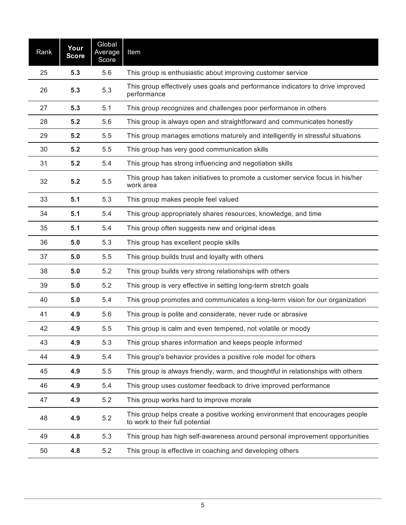| Rank | Your<br><b>Score</b> | Global<br>Average<br>Score | Item                                                                                                             |
|------|----------------------|----------------------------|------------------------------------------------------------------------------------------------------------------|
| 25   | 5.3                  | 5.6                        | This group is enthusiastic about improving customer service                                                      |
| 26   | 5.3                  | 5.3                        | This group effectively uses goals and performance indicators to drive improved<br>performance                    |
| 27   | 5.3                  | 5.1                        | This group recognizes and challenges poor performance in others                                                  |
| 28   | 5.2                  | 5.6                        | This group is always open and straightforward and communicates honestly                                          |
| 29   | 5.2                  | 5.5                        | This group manages emotions maturely and intelligently in stressful situations                                   |
| 30   | 5.2                  | 5.5                        | This group has very good communication skills                                                                    |
| 31   | 5.2                  | 5.4                        | This group has strong influencing and negotiation skills                                                         |
| 32   | 5.2                  | 5.5                        | This group has taken initiatives to promote a customer service focus in his/her<br>work area                     |
| 33   | 5.1                  | 5.3                        | This group makes people feel valued                                                                              |
| 34   | 5.1                  | 5.4                        | This group appropriately shares resources, knowledge, and time                                                   |
| 35   | 5.1                  | 5.4                        | This group often suggests new and original ideas                                                                 |
| 36   | 5.0                  | 5.3                        | This group has excellent people skills                                                                           |
| 37   | 5.0                  | 5.5                        | This group builds trust and loyalty with others                                                                  |
| 38   | 5.0                  | 5.2                        | This group builds very strong relationships with others                                                          |
| 39   | 5.0                  | 5.2                        | This group is very effective in setting long-term stretch goals                                                  |
| 40   | 5.0                  | 5.4                        | This group promotes and communicates a long-term vision for our organization                                     |
| 41   | 4.9                  | 5.6                        | This group is polite and considerate, never rude or abrasive                                                     |
| 42   | 4.9                  | 5.5                        | This group is calm and even tempered, not volatile or moody                                                      |
| 43   | 4.9                  | 5.3                        | This group shares information and keeps people informed                                                          |
| 44   | 4.9                  | 5.4                        | This group's behavior provides a positive role model for others                                                  |
| 45   | 4.9                  | 5.5                        | This group is always friendly, warm, and thoughtful in relationships with others                                 |
| 46   | 4.9                  | 5.4                        | This group uses customer feedback to drive improved performance                                                  |
| 47   | 4.9                  | 5.2                        | This group works hard to improve morale                                                                          |
| 48   | 4.9                  | 5.2                        | This group helps create a positive working environment that encourages people<br>to work to their full potential |
| 49   | 4.8                  | 5.3                        | This group has high self-awareness around personal improvement opportunities                                     |
| 50   | 4.8                  | 5.2                        | This group is effective in coaching and developing others                                                        |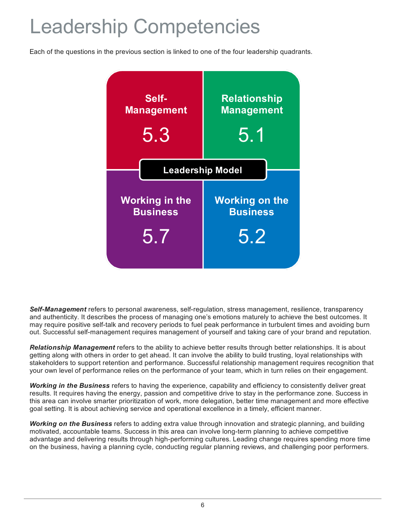### Leadership Competencies

Each of the questions in the previous section is linked to one of the four leadership quadrants.



*Self-Management* refers to personal awareness, self-regulation, stress management, resilience, transparency and authenticity. It describes the process of managing one's emotions maturely to achieve the best outcomes. It may require positive self-talk and recovery periods to fuel peak performance in turbulent times and avoiding burn out. Successful self-management requires management of yourself and taking care of your brand and reputation.

*Relationship Management* refers to the ability to achieve better results through better relationships. It is about getting along with others in order to get ahead. It can involve the ability to build trusting, loyal relationships with stakeholders to support retention and performance. Successful relationship management requires recognition that your own level of performance relies on the performance of your team, which in turn relies on their engagement.

*Working in the Business* refers to having the experience, capability and efficiency to consistently deliver great results. It requires having the energy, passion and competitive drive to stay in the performance zone. Success in this area can involve smarter prioritization of work, more delegation, better time management and more effective goal setting. It is about achieving service and operational excellence in a timely, efficient manner.

*Working on the Business* refers to adding extra value through innovation and strategic planning, and building motivated, accountable teams. Success in this area can involve long-term planning to achieve competitive advantage and delivering results through high-performing cultures. Leading change requires spending more time on the business, having a planning cycle, conducting regular planning reviews, and challenging poor performers.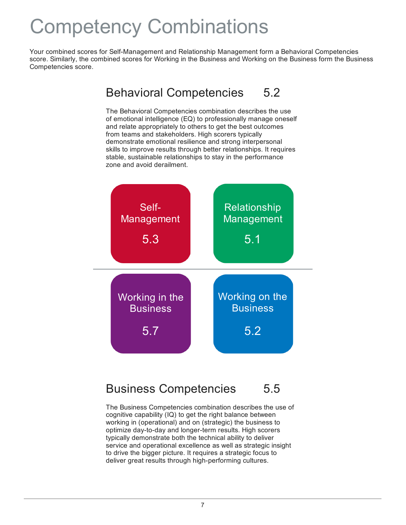### Competency Combinations

Your combined scores for Self-Management and Relationship Management form a Behavioral Competencies score. Similarly, the combined scores for Working in the Business and Working on the Business form the Business Competencies score.

> 5.2 Behavioral Competencies

The Behavioral Competencies combination describes the use of emotional intelligence (EQ) to professionally manage oneself and relate appropriately to others to get the best outcomes from teams and stakeholders. High scorers typically demonstrate emotional resilience and strong interpersonal skills to improve results through better relationships. It requires stable, sustainable relationships to stay in the performance zone and avoid derailment.



#### 5.5 Business Competencies

The Business Competencies combination describes the use of cognitive capability (IQ) to get the right balance between working in (operational) and on (strategic) the business to optimize day-to-day and longer-term results. High scorers typically demonstrate both the technical ability to deliver service and operational excellence as well as strategic insight to drive the bigger picture. It requires a strategic focus to deliver great results through high-performing cultures.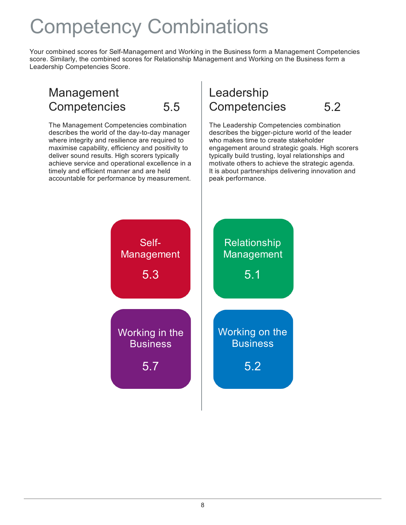### Competency Combinations

Your combined scores for Self-Management and Working in the Business form a Management Competencies score. Similarly, the combined scores for Relationship Management and Working on the Business form a Leadership Competencies Score.

### Management **Competencies**

The Management Competencies combination describes the world of the day-to-day manager where integrity and resilience are required to maximise capability, efficiency and positivity to deliver sound results. High scorers typically achieve service and operational excellence in a timely and efficient manner and are held accountable for performance by measurement.

### 5.5 Competencies 5.2 Leadership

The Leadership Competencies combination describes the bigger-picture world of the leader who makes time to create stakeholder engagement around strategic goals. High scorers typically build trusting, loyal relationships and motivate others to achieve the strategic agenda. It is about partnerships delivering innovation and peak performance.

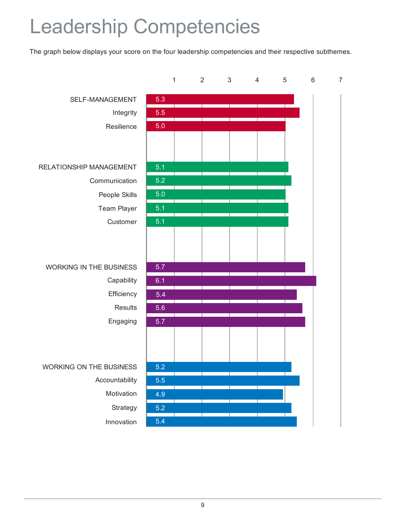## Leadership Competencies

The graph below displays your score on the four leadership competencies and their respective subthemes.

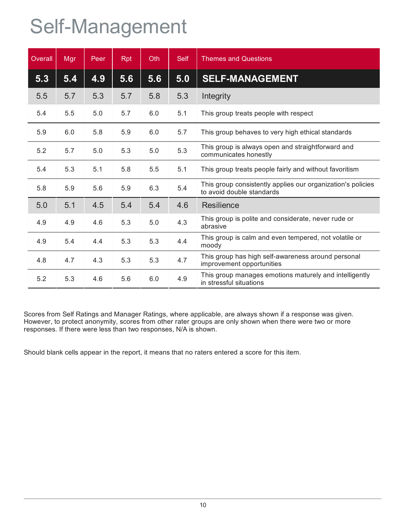## Self-Management

| Overall | Mgr | Peer | <b>Rpt</b> | <b>Oth</b> | <b>Self</b> | <b>Themes and Questions</b>                                                              |
|---------|-----|------|------------|------------|-------------|------------------------------------------------------------------------------------------|
| 5.3     | 5.4 | 4.9  | 5.6        | 5.6        | 5.0         | <b>SELF-MANAGEMENT</b>                                                                   |
| 5.5     | 5.7 | 5.3  | 5.7        | 5.8        | 5.3         | Integrity                                                                                |
| 5.4     | 5.5 | 5.0  | 5.7        | 6.0        | 5.1         | This group treats people with respect                                                    |
| 5.9     | 6.0 | 5.8  | 5.9        | 6.0        | 5.7         | This group behaves to very high ethical standards                                        |
| 5.2     | 5.7 | 5.0  | 5.3        | 5.0        | 5.3         | This group is always open and straightforward and<br>communicates honestly               |
| 5.4     | 5.3 | 5.1  | 5.8        | 5.5        | 5.1         | This group treats people fairly and without favoritism                                   |
| 5.8     | 5.9 | 5.6  | 5.9        | 6.3        | 5.4         | This group consistently applies our organization's policies<br>to avoid double standards |
| 5.0     | 5.1 | 4.5  | 5.4        | 5.4        | 4.6         | Resilience                                                                               |
| 4.9     | 4.9 | 4.6  | 5.3        | 5.0        | 4.3         | This group is polite and considerate, never rude or<br>abrasive                          |
| 4.9     | 5.4 | 4.4  | 5.3        | 5.3        | 4.4         | This group is calm and even tempered, not volatile or<br>moody                           |
| 4.8     | 4.7 | 4.3  | 5.3        | 5.3        | 4.7         | This group has high self-awareness around personal<br>improvement opportunities          |
| 5.2     | 5.3 | 4.6  | 5.6        | 6.0        | 4.9         | This group manages emotions maturely and intelligently<br>in stressful situations        |

Scores from Self Ratings and Manager Ratings, where applicable, are always shown if a response was given. However, to protect anonymity, scores from other rater groups are only shown when there were two or more responses. If there were less than two responses, N/A is shown.

Should blank cells appear in the report, it means that no raters entered a score for this item.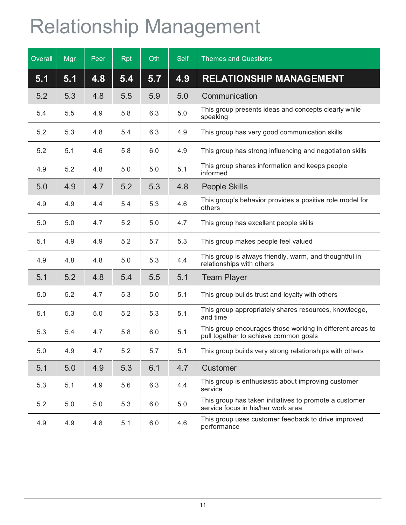# Relationship Management

| Overall | Mgr     | Peer | <b>Rpt</b> | Oth | <b>Self</b> | <b>Themes and Questions</b>                                                                        |
|---------|---------|------|------------|-----|-------------|----------------------------------------------------------------------------------------------------|
| 5.1     | 5.1     | 4.8  | 5.4        | 5.7 | 4.9         | <b>RELATIONSHIP MANAGEMENT</b>                                                                     |
| 5.2     | 5.3     | 4.8  | 5.5        | 5.9 | 5.0         | Communication                                                                                      |
| 5.4     | 5.5     | 4.9  | 5.8        | 6.3 | 5.0         | This group presents ideas and concepts clearly while<br>speaking                                   |
| 5.2     | 5.3     | 4.8  | 5.4        | 6.3 | 4.9         | This group has very good communication skills                                                      |
| 5.2     | 5.1     | 4.6  | 5.8        | 6.0 | 4.9         | This group has strong influencing and negotiation skills                                           |
| 4.9     | 5.2     | 4.8  | 5.0        | 5.0 | 5.1         | This group shares information and keeps people<br>informed                                         |
| 5.0     | 4.9     | 4.7  | 5.2        | 5.3 | 4.8         | <b>People Skills</b>                                                                               |
| 4.9     | 4.9     | 4.4  | 5.4        | 5.3 | 4.6         | This group's behavior provides a positive role model for<br>others                                 |
| 5.0     | 5.0     | 4.7  | 5.2        | 5.0 | 4.7         | This group has excellent people skills                                                             |
| 5.1     | 4.9     | 4.9  | 5.2        | 5.7 | 5.3         | This group makes people feel valued                                                                |
| 4.9     | 4.8     | 4.8  | 5.0        | 5.3 | 4.4         | This group is always friendly, warm, and thoughtful in<br>relationships with others                |
| 5.1     | 5.2     | 4.8  | 5.4        | 5.5 | 5.1         | <b>Team Player</b>                                                                                 |
| 5.0     | 5.2     | 4.7  | 5.3        | 5.0 | 5.1         | This group builds trust and loyalty with others                                                    |
| 5.1     | 5.3     | 5.0  | 5.2        | 5.3 | 5.1         | This group appropriately shares resources, knowledge,<br>and time                                  |
| 5.3     | 5.4     | 4.7  | 5.8        | 6.0 | 5.1         | This group encourages those working in different areas to<br>pull together to achieve common goals |
| 5.0     | 4.9     | 4.7  | 5.2        | 5.7 | 5.1         | This group builds very strong relationships with others                                            |
| 5.1     | 5.0     | 4.9  | 5.3        | 6.1 | 4.7         | Customer                                                                                           |
| 5.3     | 5.1     | 4.9  | 5.6        | 6.3 | 4.4         | This group is enthusiastic about improving customer<br>service                                     |
| 5.2     | $5.0\,$ | 5.0  | 5.3        | 6.0 | 5.0         | This group has taken initiatives to promote a customer<br>service focus in his/her work area       |
| 4.9     | 4.9     | 4.8  | 5.1        | 6.0 | 4.6         | This group uses customer feedback to drive improved<br>performance                                 |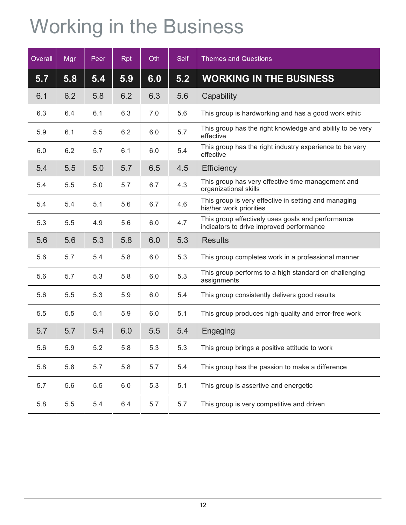# Working in the Business

| Overall | Mgr | Peer | <b>Rpt</b> | Oth | <b>Self</b> | <b>Themes and Questions</b>                                                                   |
|---------|-----|------|------------|-----|-------------|-----------------------------------------------------------------------------------------------|
| 5.7     | 5.8 | 5.4  | 5.9        | 6.0 | 5.2         | <b>WORKING IN THE BUSINESS</b>                                                                |
| 6.1     | 6.2 | 5.8  | 6.2        | 6.3 | 5.6         | Capability                                                                                    |
| 6.3     | 6.4 | 6.1  | 6.3        | 7.0 | 5.6         | This group is hardworking and has a good work ethic                                           |
| 5.9     | 6.1 | 5.5  | 6.2        | 6.0 | 5.7         | This group has the right knowledge and ability to be very<br>effective                        |
| 6.0     | 6.2 | 5.7  | 6.1        | 6.0 | 5.4         | This group has the right industry experience to be very<br>effective                          |
| 5.4     | 5.5 | 5.0  | 5.7        | 6.5 | 4.5         | <b>Efficiency</b>                                                                             |
| 5.4     | 5.5 | 5.0  | 5.7        | 6.7 | 4.3         | This group has very effective time management and<br>organizational skills                    |
| 5.4     | 5.4 | 5.1  | 5.6        | 6.7 | 4.6         | This group is very effective in setting and managing<br>his/her work priorities               |
| 5.3     | 5.5 | 4.9  | 5.6        | 6.0 | 4.7         | This group effectively uses goals and performance<br>indicators to drive improved performance |
| 5.6     | 5.6 | 5.3  | 5.8        | 6.0 | 5.3         | <b>Results</b>                                                                                |
| 5.6     | 5.7 | 5.4  | 5.8        | 6.0 | 5.3         | This group completes work in a professional manner                                            |
| 5.6     | 5.7 | 5.3  | 5.8        | 6.0 | 5.3         | This group performs to a high standard on challenging<br>assignments                          |
| 5.6     | 5.5 | 5.3  | 5.9        | 6.0 | 5.4         | This group consistently delivers good results                                                 |
| 5.5     | 5.5 | 5.1  | 5.9        | 6.0 | 5.1         | This group produces high-quality and error-free work                                          |
| 5.7     | 5.7 | 5.4  | 6.0        | 5.5 | 5.4         | Engaging                                                                                      |
| 5.6     | 5.9 | 5.2  | 5.8        | 5.3 | 5.3         | This group brings a positive attitude to work                                                 |
| 5.8     | 5.8 | 5.7  | 5.8        | 5.7 | 5.4         | This group has the passion to make a difference                                               |
| 5.7     | 5.6 | 5.5  | 6.0        | 5.3 | 5.1         | This group is assertive and energetic                                                         |
| 5.8     | 5.5 | 5.4  | 6.4        | 5.7 | 5.7         | This group is very competitive and driven                                                     |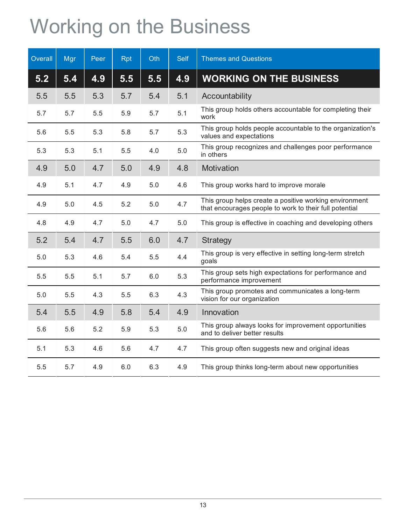## Working on the Business

| Overall | Mgr | Peer | <b>Rpt</b> | Oth | <b>Self</b> | <b>Themes and Questions</b>                                                                                      |
|---------|-----|------|------------|-----|-------------|------------------------------------------------------------------------------------------------------------------|
| 5.2     | 5.4 | 4.9  | 5.5        | 5.5 | 4.9         | <b>WORKING ON THE BUSINESS</b>                                                                                   |
| 5.5     | 5.5 | 5.3  | 5.7        | 5.4 | 5.1         | Accountability                                                                                                   |
| 5.7     | 5.7 | 5.5  | 5.9        | 5.7 | 5.1         | This group holds others accountable for completing their<br>work                                                 |
| 5.6     | 5.5 | 5.3  | 5.8        | 5.7 | 5.3         | This group holds people accountable to the organization's<br>values and expectations                             |
| 5.3     | 5.3 | 5.1  | 5.5        | 4.0 | 5.0         | This group recognizes and challenges poor performance<br>in others                                               |
| 4.9     | 5.0 | 4.7  | 5.0        | 4.9 | 4.8         | Motivation                                                                                                       |
| 4.9     | 5.1 | 4.7  | 4.9        | 5.0 | 4.6         | This group works hard to improve morale                                                                          |
| 4.9     | 5.0 | 4.5  | 5.2        | 5.0 | 4.7         | This group helps create a positive working environment<br>that encourages people to work to their full potential |
| 4.8     | 4.9 | 4.7  | 5.0        | 4.7 | 5.0         | This group is effective in coaching and developing others                                                        |
| 5.2     | 5.4 | 4.7  | 5.5        | 6.0 | 4.7         | <b>Strategy</b>                                                                                                  |
| 5.0     | 5.3 | 4.6  | 5.4        | 5.5 | 4.4         | This group is very effective in setting long-term stretch<br>goals                                               |
| 5.5     | 5.5 | 5.1  | 5.7        | 6.0 | 5.3         | This group sets high expectations for performance and<br>performance improvement                                 |
| 5.0     | 5.5 | 4.3  | 5.5        | 6.3 | 4.3         | This group promotes and communicates a long-term<br>vision for our organization                                  |
| 5.4     | 5.5 | 4.9  | 5.8        | 5.4 | 4.9         | Innovation                                                                                                       |
| 5.6     | 5.6 | 5.2  | 5.9        | 5.3 | 5.0         | This group always looks for improvement opportunities<br>and to deliver better results                           |
| 5.1     | 5.3 | 4.6  | 5.6        | 4.7 | 4.7         | This group often suggests new and original ideas                                                                 |
| 5.5     | 5.7 | 4.9  | 6.0        | 6.3 | 4.9         | This group thinks long-term about new opportunities                                                              |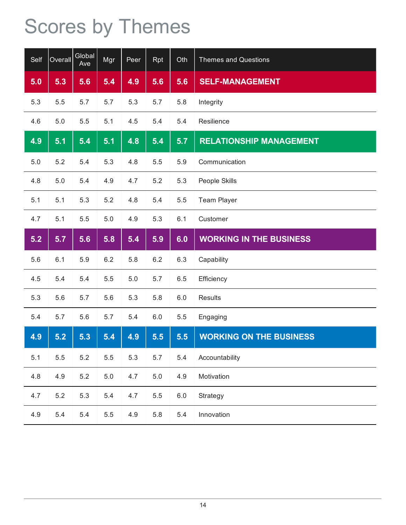# Scores by Themes

| Self | Overall | Global<br>Ave | Mgr     | Peer | Rpt     | Oth     | <b>Themes and Questions</b>    |
|------|---------|---------------|---------|------|---------|---------|--------------------------------|
| 5.0  | 5.3     | 5.6           | 5.4     | 4.9  | 5.6     | 5.6     | <b>SELF-MANAGEMENT</b>         |
| 5.3  | 5.5     | 5.7           | 5.7     | 5.3  | 5.7     | 5.8     | Integrity                      |
| 4.6  | 5.0     | 5.5           | 5.1     | 4.5  | 5.4     | 5.4     | Resilience                     |
| 4.9  | 5.1     | 5.4           | 5.1     | 4.8  | 5.4     | 5.7     | <b>RELATIONSHIP MANAGEMENT</b> |
| 5.0  | 5.2     | 5.4           | 5.3     | 4.8  | 5.5     | 5.9     | Communication                  |
| 4.8  | 5.0     | 5.4           | 4.9     | 4.7  | 5.2     | 5.3     | People Skills                  |
| 5.1  | 5.1     | 5.3           | 5.2     | 4.8  | 5.4     | 5.5     | <b>Team Player</b>             |
| 4.7  | 5.1     | 5.5           | 5.0     | 4.9  | 5.3     | 6.1     | Customer                       |
| 5.2  | 5.7     | 5.6           | 5.8     | 5.4  | 5.9     | 6.0     | <b>WORKING IN THE BUSINESS</b> |
| 5.6  | 6.1     | 5.9           | 6.2     | 5.8  | 6.2     | 6.3     | Capability                     |
| 4.5  | 5.4     | 5.4           | 5.5     | 5.0  | 5.7     | 6.5     | Efficiency                     |
| 5.3  | 5.6     | 5.7           | 5.6     | 5.3  | 5.8     | 6.0     | <b>Results</b>                 |
| 5.4  | 5.7     | 5.6           | 5.7     | 5.4  | $6.0\,$ | 5.5     | Engaging                       |
| 4.9  | 5.2     | 5.3           | 5.4     | 4.9  | 5.5     | 5.5     | <b>WORKING ON THE BUSINESS</b> |
| 5.1  | 5.5     | 5.2           | 5.5     | 5.3  | 5.7     | 5.4     | Accountability                 |
| 4.8  | 4.9     | 5.2           | $5.0\,$ | 4.7  | 5.0     | 4.9     | Motivation                     |
| 4.7  | $5.2\,$ | 5.3           | 5.4     | 4.7  | 5.5     | $6.0\,$ | Strategy                       |
| 4.9  | 5.4     | 5.4           | 5.5     | 4.9  | 5.8     | 5.4     | Innovation                     |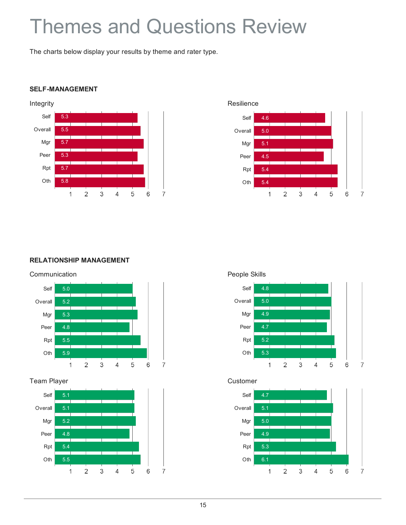### Themes and Questions Review

The charts below display your results by theme and rater type.

#### **SELF-MANAGEMENT**





#### **RELATIONSHIP MANAGEMENT**



#### Team Player Customer





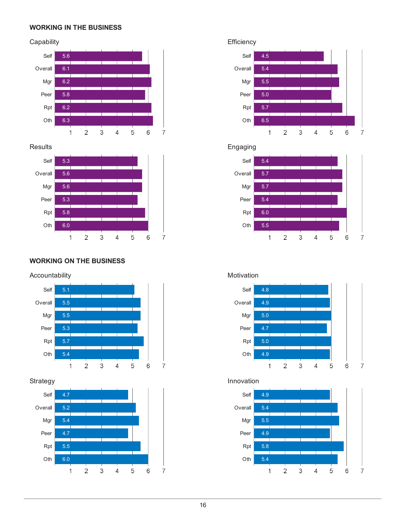#### **WORKING IN THE BUSINESS**

#### Capability **Efficiency**





#### **WORKING ON THE BUSINESS**

#### Accountability **Motivation** Motivation







### Results **Engaging**





### Strategy **Innovation**



 $\overline{7}$ 

 $\overline{7}$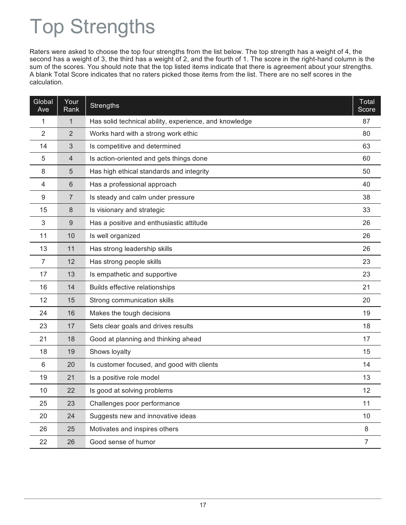## Top Strengths

Raters were asked to choose the top four strengths from the list below. The top strength has a weight of 4, the second has a weight of 3, the third has a weight of 2, and the fourth of 1. The score in the right-hand column is the sum of the scores. You should note that the top listed items indicate that there is agreement about your strengths. A blank Total Score indicates that no raters picked those items from the list. There are no self scores in the calculation.

| Global<br>Ave | Your<br>Rank   | <b>Strengths</b>                                       | Total<br>Score |
|---------------|----------------|--------------------------------------------------------|----------------|
| 1             | $\mathbf{1}$   | Has solid technical ability, experience, and knowledge | 87             |
| 2             | $\overline{2}$ | Works hard with a strong work ethic                    | 80             |
| 14            | 3              | Is competitive and determined                          | 63             |
| 5             | $\overline{4}$ | Is action-oriented and gets things done                | 60             |
| 8             | 5              | Has high ethical standards and integrity               | 50             |
| 4             | 6              | Has a professional approach                            | 40             |
| 9             | 7              | Is steady and calm under pressure                      | 38             |
| 15            | 8              | Is visionary and strategic                             | 33             |
| 3             | $9\,$          | Has a positive and enthusiastic attitude               | 26             |
| 11            | 10             | Is well organized                                      | 26             |
| 13            | 11             | Has strong leadership skills                           | 26             |
| 7             | 12             | Has strong people skills                               | 23             |
| 17            | 13             | Is empathetic and supportive                           | 23             |
| 16            | 14             | Builds effective relationships                         | 21             |
| 12            | 15             | Strong communication skills                            | 20             |
| 24            | 16             | Makes the tough decisions                              | 19             |
| 23            | 17             | Sets clear goals and drives results                    | 18             |
| 21            | 18             | Good at planning and thinking ahead                    | 17             |
| 18            | 19             | Shows loyalty                                          | 15             |
| 6             | 20             | Is customer focused, and good with clients             | 14             |
| 19            | 21             | Is a positive role model                               | 13             |
| 10            | 22             | Is good at solving problems                            | 12             |
| 25            | 23             | Challenges poor performance                            | 11             |
| 20            | 24             | Suggests new and innovative ideas                      | 10             |
| 26            | 25             | Motivates and inspires others                          | $\,8\,$        |
| 22            | 26             | Good sense of humor                                    | $\overline{7}$ |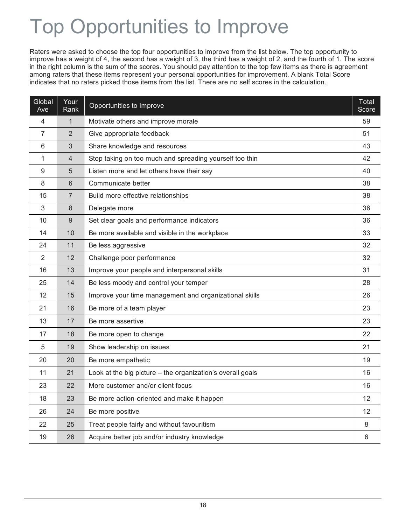## Top Opportunities to Improve

Raters were asked to choose the top four opportunities to improve from the list below. The top opportunity to improve has a weight of 4, the second has a weight of 3, the third has a weight of 2, and the fourth of 1. The score in the right column is the sum of the scores. You should pay attention to the top few items as there is agreement among raters that these items represent your personal opportunities for improvement. A blank Total Score indicates that no raters picked those items from the list. There are no self scores in the calculation.

| Global<br>Ave | Your<br>Rank   | Opportunities to Improve                                   | Total<br>Score |
|---------------|----------------|------------------------------------------------------------|----------------|
| 4             | 1              | Motivate others and improve morale                         | 59             |
| 7             | 2              | Give appropriate feedback                                  | 51             |
| 6             | 3              | Share knowledge and resources                              | 43             |
| 1             | $\overline{4}$ | Stop taking on too much and spreading yourself too thin    | 42             |
| 9             | 5              | Listen more and let others have their say                  | 40             |
| 8             | 6              | Communicate better                                         | 38             |
| 15            | 7              | Build more effective relationships                         | 38             |
| 3             | 8              | Delegate more                                              | 36             |
| 10            | 9              | Set clear goals and performance indicators                 | 36             |
| 14            | 10             | Be more available and visible in the workplace             | 33             |
| 24            | 11             | Be less aggressive                                         | 32             |
| 2             | 12             | Challenge poor performance                                 | 32             |
| 16            | 13             | Improve your people and interpersonal skills               | 31             |
| 25            | 14             | Be less moody and control your temper                      | 28             |
| 12            | 15             | Improve your time management and organizational skills     | 26             |
| 21            | 16             | Be more of a team player                                   | 23             |
| 13            | 17             | Be more assertive                                          | 23             |
| 17            | 18             | Be more open to change                                     | 22             |
| 5             | 19             | Show leadership on issues                                  | 21             |
| 20            | 20             | Be more empathetic                                         | 19             |
| 11            | 21             | Look at the big picture - the organization's overall goals | 16             |
| 23            | 22             | More customer and/or client focus                          | 16             |
| 18            | 23             | Be more action-oriented and make it happen                 | 12             |
| 26            | 24             | Be more positive                                           | 12             |
| 22            | 25             | Treat people fairly and without favouritism                | 8              |
| 19            | 26             | Acquire better job and/or industry knowledge               | 6              |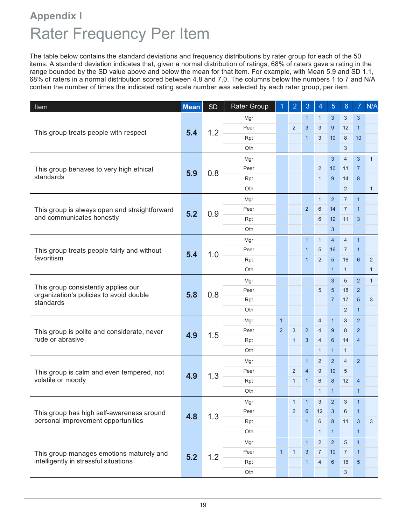### Rater Frequency Per Item **Appendix I**

The table below contains the standard deviations and frequency distributions by rater group for each of the 50 items. A standard deviation indicates that, given a normal distribution of ratings, 68% of raters gave a rating in the range bounded by the SD value above and below the mean for that item. For example, with Mean 5.9 and SD 1.1, 68% of raters in a normal distribution scored between 4.8 and 7.0. The columns below the numbers 1 to 7 and N/A contain the number of times the indicated rating scale number was selected by each rater group, per item.

| Item                                                 | <b>Mean</b> | <b>SD</b>  | <b>Rater Group</b> | 1              | $\overline{2}$ | 3              | 4               | $\overline{5}$ | $6\phantom{1}$ | $\overline{7}$ | N/A          |
|------------------------------------------------------|-------------|------------|--------------------|----------------|----------------|----------------|-----------------|----------------|----------------|----------------|--------------|
| This group treats people with respect                |             |            | Mgr                |                |                | $\mathbf{1}$   | $\mathbf{1}$    | 3              | 3              | 3              |              |
|                                                      |             |            | Peer               |                | $\overline{2}$ | 3              | $\mathbf{3}$    | 9              | 12             | $\mathbf{1}$   |              |
|                                                      | 5.4         | 1.2        | Rpt                |                |                | $\mathbf{1}$   | 3               | 10             | 8              | 10             |              |
|                                                      |             |            | Oth.               |                |                |                |                 |                | 3              |                |              |
|                                                      |             |            | Mgr                |                |                |                |                 | $\mathbf{3}$   | $\overline{4}$ | 3              | $\mathbf{1}$ |
| This group behaves to very high ethical              |             |            | Peer               |                |                |                | 2               | 10             | 11             | $\overline{7}$ |              |
| standards                                            | 5.9         | 0.8        | Rpt                |                |                |                | $\mathbf{1}$    | 9              | 14             | 8              |              |
|                                                      |             |            | Oth                |                |                |                |                 |                | 2              |                | $\mathbf{1}$ |
|                                                      |             |            | Mgr                |                |                |                | $\mathbf{1}$    | $\overline{2}$ | $\overline{7}$ | $\overline{1}$ |              |
| This group is always open and straightforward        |             | 0.9        | Peer               |                |                | 2              | 6               | 14             | $\overline{7}$ | $\mathbf{1}$   |              |
| and communicates honestly                            | 5.2         |            | Rpt                |                |                |                | 6               | 12             | 11             | 3              |              |
|                                                      |             |            | Oth                |                |                |                |                 | 3              |                |                |              |
|                                                      |             |            | Mgr                |                |                | $\mathbf{1}$   | $\mathbf{1}$    | $\overline{4}$ | $\overline{4}$ | $\overline{1}$ |              |
| This group treats people fairly and without          | 5.4         | 1.0        | Peer               |                |                | $\mathbf{1}$   | $5\overline{)}$ | 16             | $\overline{7}$ | $\mathbf{1}$   |              |
| favoritism                                           |             |            | Rpt                |                |                | $\mathbf{1}$   | 2               | 5              | 16             | 6              | 2            |
|                                                      |             |            | Oth                |                |                |                |                 | $\mathbf{1}$   | $\mathbf{1}$   |                | $\mathbf{1}$ |
|                                                      | 5.8         |            | Mgr                |                |                |                |                 | $\mathbf{3}$   | 5              | $\overline{2}$ | $\mathbf{1}$ |
| This group consistently applies our                  |             |            | Peer               |                |                |                | 5               | $\sqrt{5}$     | 18             | $\overline{2}$ |              |
| organization's policies to avoid double<br>standards |             | 0.8        | Rpt                |                |                |                |                 | $\overline{7}$ | 17             | 5              | 3            |
|                                                      |             |            | Oth                |                |                |                |                 |                | $\overline{2}$ | $\mathbf{1}$   |              |
|                                                      |             | 4.9<br>1.5 | Mgr                | $\mathbf{1}$   |                |                | 4               | $\mathbf{1}$   | 3              | $\overline{2}$ |              |
| This group is polite and considerate, never          |             |            | Peer               | $\overline{2}$ | 3              | $\overline{2}$ | 4               | 9              | 8              | $\overline{2}$ |              |
| rude or abrasive                                     |             |            | Rpt                |                | $\mathbf{1}$   | 3              | $\overline{4}$  | 6              | 14             | $\overline{4}$ |              |
|                                                      |             |            | Oth                |                |                |                | $\mathbf{1}$    | $\mathbf{1}$   | $\mathbf{1}$   |                |              |
|                                                      |             |            | Mgr                |                |                | $\mathbf{1}$   | $\overline{2}$  | $\overline{2}$ | $\overline{4}$ | $\overline{2}$ |              |
| This group is calm and even tempered, not            |             |            | Peer               |                | $\overline{2}$ | $\overline{4}$ | 9               | 10             | 5              |                |              |
| volatile or moody                                    | 4.9         | 1.3        | Rpt                |                | $\mathbf{1}$   | $\mathbf{1}$   | 6               | 8              | 12             | $\overline{4}$ |              |
|                                                      |             |            | Oth                |                |                |                | $\mathbf{1}$    | $\mathbf{1}$   |                | $\mathbf{1}$   |              |
|                                                      |             |            | Mgr                |                | 1              | $\mathbf{1}$   | 3               | $\overline{2}$ | $\mathfrak{B}$ | $\mathbf{1}$   |              |
| This group has high self-awareness around            |             |            | Peer               |                | $\overline{2}$ | 6              | 12              | $\mathbf{3}$   | 6              | $\mathbf{1}$   |              |
| personal improvement opportunities                   | 4.8         | 1.3        | Rpt                |                |                | $\mathbf{1}$   | 6               | 8              | 11             | $\mathbf{3}$   | 3            |
|                                                      |             |            | Oth                |                |                |                | $\mathbf{1}$    | $\mathbf{1}$   |                | $\mathbf{1}$   |              |
|                                                      |             |            | Mgr                |                |                | $\mathbf{1}$   | $\overline{2}$  | $\overline{2}$ | $\sqrt{5}$     | $\mathbf{1}$   |              |
| This group manages emotions maturely and             |             |            | Peer               | $\mathbf{1}$   | $\mathbf{1}$   | 3              | $\overline{7}$  | 10             | $\overline{7}$ | $\mathbf{1}$   |              |
| intelligently in stressful situations                | 5.2         | 1.2        | Rpt                |                |                | $\mathbf{1}$   | $\overline{4}$  | $6\phantom{1}$ | 16             | 5              |              |
|                                                      |             |            | Oth                |                |                |                |                 |                | $\mathfrak{S}$ |                |              |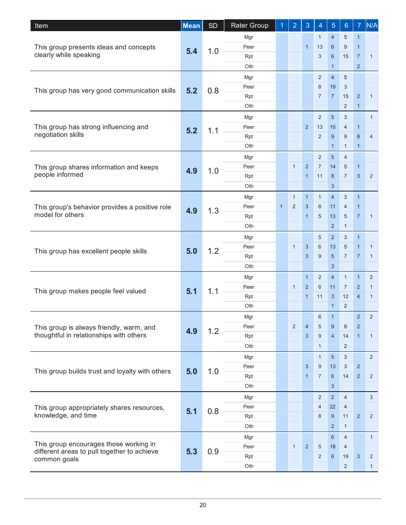| <b>Item</b>                                                 | <b>Mean</b> | <b>SD</b> | Rater Group |              | $\overline{2}$ | 3              | 4              | 5              | 6              | $\overline{7}$ | N/A            |
|-------------------------------------------------------------|-------------|-----------|-------------|--------------|----------------|----------------|----------------|----------------|----------------|----------------|----------------|
|                                                             |             |           | Mgr         |              |                |                | $\mathbf{1}$   | $\overline{4}$ | $\sqrt{5}$     | $\mathbf{1}$   |                |
| This group presents ideas and concepts                      | 5.4         | 1.0       | Peer        |              |                | $\mathbf{1}$   | 13             | 6              | 9              | $\mathbf{1}$   |                |
| clearly while speaking                                      |             |           | Rpt         |              |                |                | 3              | 6              | 15             | $\overline{7}$ | $\mathbf{1}$   |
|                                                             |             |           | Oth         |              |                |                |                | $\mathbf{1}$   |                | $\overline{2}$ |                |
|                                                             |             |           | Mgr         |              |                |                | 2              | $\overline{4}$ | $\overline{5}$ |                |                |
| This group has very good communication skills               | 5.2         | 0.8       | Peer        |              |                |                | 8              | 19             | 3              |                |                |
|                                                             |             |           | Rpt         |              |                |                | $\overline{7}$ | $\overline{7}$ | 15             | $\overline{2}$ | $\mathbf{1}$   |
|                                                             |             |           | Oth         |              |                |                |                |                | $\overline{2}$ | $\overline{1}$ |                |
|                                                             |             |           | Mgr         |              |                |                | $\overline{2}$ | $\sqrt{5}$     | 3              |                | $\mathbf{1}$   |
| This group has strong influencing and                       | 5.2         | 1.1       | Peer        |              |                | 2              | 13             | 10             | 4              | $\mathbf{1}$   |                |
| negotiation skills                                          |             |           | Rpt         |              |                |                | 2              | 9              | 9              | 8              | $\overline{4}$ |
|                                                             |             |           | Oth         |              |                |                |                | $\mathbf{1}$   | $\mathbf{1}$   | $\mathbf{1}$   |                |
|                                                             |             |           | Mgr         |              |                |                | $\overline{2}$ | $\sqrt{5}$     | $\overline{4}$ |                |                |
| This group shares information and keeps                     | 4.9         | 1.0       | Peer        |              | $\mathbf{1}$   | 2              | $\overline{7}$ | 14             | 5              | $\mathbf{1}$   |                |
| people informed                                             |             |           | Rpt         |              |                | $\mathbf{1}$   | 11             | 8              | $\overline{7}$ | 3              | $\overline{2}$ |
|                                                             |             |           | Oth         |              |                |                |                | 3              |                |                |                |
|                                                             |             | 1.3       | Mgr         |              | $\mathbf{1}$   | $\mathbf{1}$   | $\mathbf{1}$   | $\overline{4}$ | $\mathbf{3}$   | $\mathbf{1}$   |                |
| This group's behavior provides a positive role              | 4.9         |           | Peer        | $\mathbf{1}$ | $\overline{2}$ | 3              | 8              | 11             | $\overline{4}$ | $\mathbf{1}$   |                |
| model for others                                            |             |           | Rpt         |              |                | $\mathbf{1}$   | 5              | 13             | 5              | $\overline{7}$ | $\mathbf{1}$   |
|                                                             |             |           | Oth         |              |                |                |                | $\overline{2}$ | $\mathbf{1}$   |                |                |
|                                                             |             |           | Mgr         |              |                |                | 5              | 2              | 3              | $\mathbf{1}$   |                |
|                                                             | 5.0         | 1.2       | Peer        |              | $\mathbf{1}$   | 3              | 6              | 13             | 5              | $\mathbf{1}$   | $\mathbf{1}$   |
| This group has excellent people skills                      |             |           | Rpt         |              |                | 3              | 9              | 5              | $\overline{7}$ | $\overline{7}$ | $\mathbf{1}$   |
|                                                             |             |           | Oth         |              |                |                |                | 3              |                |                |                |
|                                                             | 5.1         |           | Mgr         |              |                | $\mathbf{1}$   | 2              | $\overline{4}$ | $\mathbf{1}$   | $\mathbf{1}$   | 2              |
| This group makes people feel valued                         |             | 1.1       | Peer        |              | $\mathbf{1}$   | 2              | 6              | 11             | $\overline{7}$ | $\overline{2}$ | $\mathbf{1}$   |
|                                                             |             |           | Rpt         |              |                | $\mathbf{1}$   | 11             | 3              | 12             | $\overline{4}$ | $\mathbf{1}$   |
|                                                             |             |           | Oth         |              |                |                |                | $\mathbf{1}$   | 2              |                |                |
|                                                             |             |           | Mgr         |              |                |                | $\,6\,$        | 1              |                | $\overline{a}$ | $\sqrt{2}$     |
| This group is always friendly, warm, and                    | 4.9         | 1.2       | Peer        |              | 2              | $\overline{4}$ | 5              | 9              | 8              | $\overline{2}$ |                |
| thoughtful in relationships with others                     |             |           | Rpt         |              |                | 3              | 9              | $\overline{4}$ | 14             | $\overline{1}$ | $\mathbf{1}$   |
|                                                             |             |           | Oth         |              |                |                | $\mathbf{1}$   |                | $\overline{2}$ |                |                |
|                                                             |             |           | Mgr         |              |                |                | $\mathbf{1}$   | $\overline{5}$ | 3              |                | $\overline{2}$ |
| This group builds trust and loyalty with others             | 5.0         | 1.0       | Peer        |              |                | $\mathbf{3}$   | $9\,$          | 13             | $\mathbf{3}$   | $\overline{2}$ |                |
|                                                             |             |           | Rpt         |              |                | $\mathbf{1}$   | $\overline{7}$ | 6              | 14             | $\overline{2}$ | $\overline{2}$ |
|                                                             |             |           | Oth         |              |                |                |                | $\mathbf{3}$   |                |                |                |
|                                                             |             |           | Mgr         |              |                |                | $\overline{2}$ | $\overline{2}$ | $\overline{4}$ |                | $\mathbf{3}$   |
| This group appropriately shares resources,                  | 5.1         | 0.8       | Peer        |              |                |                | $\overline{4}$ | 22             | 4              |                |                |
| knowledge, and time                                         |             |           | Rpt         |              |                |                | 8              | 9              | 11             | $\overline{2}$ | $\overline{2}$ |
|                                                             |             |           | Oth         |              |                |                |                | $\overline{2}$ | $\mathbf{1}$   |                |                |
|                                                             |             |           | Mgr         |              |                |                |                | $6\phantom{1}$ | $\overline{4}$ |                | $\mathbf{1}$   |
| This group encourages those working in                      |             |           | Peer        |              | $\mathbf{1}$   | $\overline{2}$ | $\sqrt{5}$     | 18             | 4              |                |                |
| different areas to pull together to achieve<br>common goals | 5.3         | 0.9       | Rpt         |              |                |                | 2              | 6              | 19             | $\mathbf{3}$   | $\overline{2}$ |
|                                                             |             |           | Oth         |              |                |                |                |                | $\overline{2}$ |                | 1              |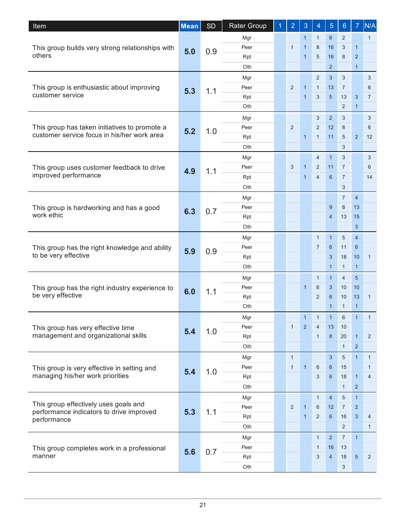| Item                                                                   | <b>Mean</b> | <b>SD</b>  | <b>Rater Group</b> | 1 | $\overline{2}$ | 3              | 4               | 5               | $6\phantom{1}$ | $\overline{7}$ | N/A            |              |                |    |              |                |  |  |
|------------------------------------------------------------------------|-------------|------------|--------------------|---|----------------|----------------|-----------------|-----------------|----------------|----------------|----------------|--------------|----------------|----|--------------|----------------|--|--|
|                                                                        |             |            | Mgr                |   |                | $\mathbf{1}$   | $\mathbf{1}$    | $6\phantom{1}$  | $\overline{2}$ |                | $\mathbf{1}$   |              |                |    |              |                |  |  |
| This group builds very strong relationships with                       | 5.0         | 0.9        | Peer               |   | $\mathbf{1}$   | $\mathbf{1}$   | 8               | 16              | 3              | $\mathbf{1}$   |                |              |                |    |              |                |  |  |
| others                                                                 |             |            | Rpt                |   |                | $\mathbf{1}$   | 5               | 16              | 8              | $\overline{2}$ |                |              |                |    |              |                |  |  |
|                                                                        |             |            | Oth                |   |                |                |                 | $\overline{2}$  |                | $\mathbf{1}$   |                |              |                |    |              |                |  |  |
|                                                                        |             |            | Mgr                |   |                |                | 2               | 3               | 3              |                | 3              |              |                |    |              |                |  |  |
| This group is enthusiastic about improving                             | 5.3         | 1.1        | Peer               |   | 2              | 1              | $\mathbf{1}$    | 13              | $\overline{7}$ |                | 6              |              |                |    |              |                |  |  |
| customer service                                                       |             |            | Rpt                |   |                | $\mathbf{1}$   | 3               | $5\overline{)}$ | 13             | 3              | $\overline{7}$ |              |                |    |              |                |  |  |
|                                                                        |             |            | Oth                |   |                |                |                 |                 | $\overline{2}$ | $\mathbf{1}$   |                |              |                |    |              |                |  |  |
|                                                                        |             |            | Mgr                |   |                |                | 3               | 2               | 3              |                | 3              |              |                |    |              |                |  |  |
| This group has taken initiatives to promote a                          | 5.2         | 1.0        | Peer               |   | $\overline{2}$ |                | 2               | 12              | 8              |                | 6              |              |                |    |              |                |  |  |
| customer service focus in his/her work area                            |             |            | Rpt                |   |                | $\mathbf{1}$   | $\mathbf{1}$    | 11              | 5              | $\overline{2}$ | 12             |              |                |    |              |                |  |  |
|                                                                        |             |            | Oth                |   |                |                |                 |                 | 3              |                |                |              |                |    |              |                |  |  |
|                                                                        |             |            | Mgr                |   |                |                | $\overline{4}$  | $\overline{1}$  | 3              |                | 3              |              |                |    |              |                |  |  |
| This group uses customer feedback to drive                             | 4.9         | 1.1        | Peer               |   | 3              | $\overline{1}$ | 2               | 11              | $\overline{7}$ |                | 6              |              |                |    |              |                |  |  |
| improved performance                                                   |             |            | Rpt                |   |                | $\mathbf{1}$   | $\overline{4}$  | 6               | $\overline{7}$ |                | 14             |              |                |    |              |                |  |  |
|                                                                        |             |            | Oth                |   |                |                |                 |                 | 3              |                |                |              |                |    |              |                |  |  |
|                                                                        |             | 6.3<br>0.7 | Mgr                |   |                |                |                 |                 | $\overline{7}$ | $\overline{4}$ |                |              |                |    |              |                |  |  |
| This group is hardworking and has a good                               |             |            | Peer               |   |                |                |                 | 9               | 8              | 13             |                |              |                |    |              |                |  |  |
| work ethic                                                             |             |            | Rpt                |   |                |                |                 | $\overline{4}$  | 13             | 15             |                |              |                |    |              |                |  |  |
|                                                                        |             | Oth        |                    |   |                |                |                 |                 | 3              |                |                |              |                |    |              |                |  |  |
| This group has the right knowledge and ability<br>to be very effective | 5.9         |            | Mgr                |   |                |                | $\mathbf{1}$    | $\mathbf{1}$    | 5              | $\overline{4}$ |                |              |                |    |              |                |  |  |
|                                                                        |             | 0.9        | Peer               |   |                |                | $\overline{7}$  | $6\phantom{1}$  | 11             | 6              |                |              |                |    |              |                |  |  |
|                                                                        |             |            | Rpt                |   |                |                |                 | 3               | 18             | 10             | $\mathbf{1}$   |              |                |    |              |                |  |  |
|                                                                        |             |            | Oth                |   |                |                |                 | $\mathbf{1}$    | $\mathbf{1}$   | $\mathbf{1}$   |                |              |                |    |              |                |  |  |
|                                                                        | 6.0         |            | Mgr                |   |                |                | $\mathbf{1}$    | $\mathbf{1}$    | $\overline{4}$ | 5              |                |              |                |    |              |                |  |  |
| This group has the right industry experience to                        |             | 1.1        | Peer               |   |                | $\mathbf{1}$   | 6               | 3               | 10             | 10             |                |              |                |    |              |                |  |  |
| be very effective                                                      |             |            | Rpt                |   |                |                | 2               | $6\phantom{1}6$ | 10             | 13             | $\mathbf{1}$   |              |                |    |              |                |  |  |
|                                                                        |             |            | Oth                |   |                |                |                 | $\mathbf{1}$    | $\mathbf{1}$   | $\mathbf{1}$   |                |              |                |    |              |                |  |  |
|                                                                        |             |            | Mgr                |   |                |                | $1 \mid 1$      | $\rightarrow$   | 6              | $\overline{1}$ | $\mathbf{1}$   |              |                |    |              |                |  |  |
| This group has very effective time                                     | 5.4         |            |                    |   |                |                |                 |                 | 1.0            | Peer           |                | $\mathbf{1}$ | $\overline{2}$ | 4  | 13           | 10             |  |  |
| management and organizational skills                                   |             |            |                    |   |                |                |                 | Rpt             |                |                |                | $\mathbf{1}$ | 8              | 20 | $\mathbf{1}$ | $\overline{2}$ |  |  |
|                                                                        |             |            | Oth                |   |                |                |                 |                 | $\mathbf{1}$   | $\overline{2}$ |                |              |                |    |              |                |  |  |
|                                                                        |             |            | Mgr                |   | $\mathbf{1}$   |                |                 | 3               | $\sqrt{5}$     | $\mathbf{1}$   | $\mathbf{1}$   |              |                |    |              |                |  |  |
| This group is very effective in setting and                            | 5.4         | 1.0        | Peer               |   | $\mathbf{1}$   | $\mathbf{1}$   | 6               | $6\phantom{1}$  | 15             |                | $\mathbf{1}$   |              |                |    |              |                |  |  |
| managing his/her work priorities                                       |             |            | Rpt                |   |                |                | 3               | 6               | 18             | $\mathbf{1}$   | 4              |              |                |    |              |                |  |  |
|                                                                        |             |            | Oth                |   |                |                |                 |                 | $\mathbf{1}$   | $\overline{2}$ |                |              |                |    |              |                |  |  |
|                                                                        |             |            | Mgr                |   |                |                | $\mathbf{1}$    | $\overline{4}$  | $\sqrt{5}$     | $\mathbf{1}$   |                |              |                |    |              |                |  |  |
| This group effectively uses goals and                                  | 5.3         | 1.1        | Peer               |   | 2              | $\mathbf{1}$   | $6\phantom{1}6$ | 12              | $\overline{7}$ | $\overline{2}$ |                |              |                |    |              |                |  |  |
| performance indicators to drive improved<br>performance                |             |            | Rpt                |   |                | $\mathbf{1}$   | 2               | 6               | 16             | 3              | 4              |              |                |    |              |                |  |  |
|                                                                        |             |            | Oth                |   |                |                |                 |                 | $\overline{2}$ |                | $\mathbf{1}$   |              |                |    |              |                |  |  |
|                                                                        |             |            | Mgr                |   |                |                | $\mathbf{1}$    | 2               | $\overline{7}$ | $\overline{1}$ |                |              |                |    |              |                |  |  |
| This group completes work in a professional                            |             |            | Peer               |   |                |                | $\mathbf{1}$    | 16              | 13             |                |                |              |                |    |              |                |  |  |
| manner                                                                 | 5.6         | 0.7        | Rpt                |   |                |                | 3               | $\overline{4}$  | 18             | $\overline{5}$ | $\overline{2}$ |              |                |    |              |                |  |  |
|                                                                        |             |            | Oth                |   |                |                |                 |                 | $\mathbf{3}$   |                |                |              |                |    |              |                |  |  |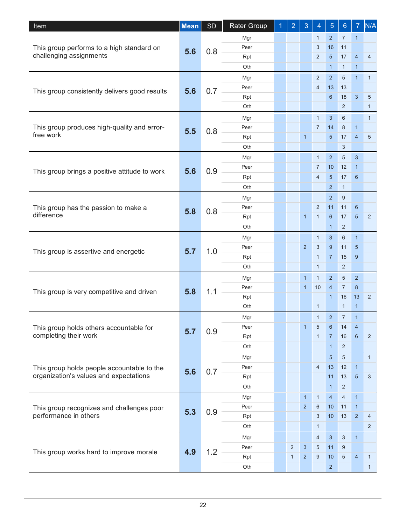| Item                                                     | <b>Mean</b> | <b>SD</b> | <b>Rater Group</b> | $\overline{2}$ | 3              | 4               | 5              | $6\phantom{1}$ | $\overline{7}$  | N/A            |                 |   |   |    |                |  |
|----------------------------------------------------------|-------------|-----------|--------------------|----------------|----------------|-----------------|----------------|----------------|-----------------|----------------|-----------------|---|---|----|----------------|--|
|                                                          |             |           | Mgr                |                |                | $\mathbf{1}$    | $\overline{2}$ | $\overline{7}$ | $\mathbf{1}$    |                |                 |   |   |    |                |  |
| This group performs to a high standard on                | 5.6         | 0.8       | Peer               |                |                | 3               | 16             | 11             |                 |                |                 |   |   |    |                |  |
| challenging assignments                                  |             |           | Rpt                |                |                | 2               | $\overline{5}$ | 17             | $\overline{4}$  | $\overline{4}$ |                 |   |   |    |                |  |
|                                                          |             |           | Oth                |                |                |                 | $\mathbf{1}$   | $\mathbf{1}$   | $\mathbf{1}$    |                |                 |   |   |    |                |  |
|                                                          |             |           | Mgr                |                |                | 2               | $2^{\circ}$    | 5              | $\mathbf{1}$    | $\mathbf{1}$   |                 |   |   |    |                |  |
| This group consistently delivers good results            | 5.6         | 0.7       | Peer               |                |                | $\overline{4}$  | 13             | 13             |                 |                |                 |   |   |    |                |  |
|                                                          |             |           | Rpt                |                |                |                 | 6              | 18             | $\mathbf{3}$    | 5              |                 |   |   |    |                |  |
|                                                          |             |           | Oth                |                |                |                 |                | 2              |                 | $\mathbf{1}$   |                 |   |   |    |                |  |
|                                                          |             |           | Mgr                |                |                | $\mathbf{1}$    | 3              | 6              |                 | $\mathbf{1}$   |                 |   |   |    |                |  |
| This group produces high-quality and error-<br>free work | 5.5         | 0.8       | Peer               |                |                | $\overline{7}$  | 14             | 8              | $\mathbf{1}$    |                |                 |   |   |    |                |  |
|                                                          |             |           | Rpt                |                | $\mathbf{1}$   |                 | 5              | 17             | $\overline{4}$  | 5              |                 |   |   |    |                |  |
|                                                          |             |           | Oth                |                |                |                 |                | 3              |                 |                |                 |   |   |    |                |  |
|                                                          |             |           | Mgr                |                |                | $\mathbf{1}$    | 2              | 5              | 3               |                |                 |   |   |    |                |  |
| This group brings a positive attitude to work            | 5.6         | 0.9       | Peer               |                |                | $\overline{7}$  | 10             | 12             | $\mathbf{1}$    |                |                 |   |   |    |                |  |
|                                                          |             |           | Rpt                |                |                | $\overline{4}$  | 5              | 17             | 6               |                |                 |   |   |    |                |  |
|                                                          |             |           | Oth                |                |                |                 | $\overline{2}$ | $\mathbf{1}$   |                 |                |                 |   |   |    |                |  |
|                                                          |             | 0.8       | Mgr                |                |                |                 | 2              | 9              |                 |                |                 |   |   |    |                |  |
| This group has the passion to make a<br>difference       |             |           | Peer               |                |                | $\overline{2}$  | 11             | 11             | 6               |                |                 |   |   |    |                |  |
|                                                          | 5.8         |           | Rpt                |                | $\mathbf{1}$   | $\mathbf{1}$    | 6              | 17             | 5               | $\overline{2}$ |                 |   |   |    |                |  |
|                                                          |             |           | Oth                |                |                |                 | $\mathbf{1}$   | $\overline{2}$ |                 |                |                 |   |   |    |                |  |
| This group is assertive and energetic                    |             |           | Mgr                |                |                | $\mathbf{1}$    | 3              | 6              | $\mathbf{1}$    |                |                 |   |   |    |                |  |
|                                                          | 5.7         | 1.0       | Peer               |                | 2              | 3               | 9              | 11             | $\sqrt{5}$      |                |                 |   |   |    |                |  |
|                                                          |             |           | Rpt                |                |                | $\mathbf{1}$    | $\overline{7}$ | 15             | 9               |                |                 |   |   |    |                |  |
|                                                          |             |           | Oth                |                |                | $\mathbf{1}$    |                | $\overline{2}$ |                 |                |                 |   |   |    |                |  |
|                                                          |             |           | Mgr                |                | $\mathbf{1}$   | $\mathbf{1}$    | $\overline{2}$ | 5              | 2               |                |                 |   |   |    |                |  |
|                                                          |             |           | Peer               |                | $\mathbf{1}$   | 10              | $\overline{4}$ | $\overline{7}$ | 8               |                |                 |   |   |    |                |  |
| This group is very competitive and driven                | 5.8         | 1.1       | Rpt                |                |                |                 | $\mathbf{1}$   | 16             | 13              | 2              |                 |   |   |    |                |  |
|                                                          |             |           | Oth                |                |                | $\mathbf{1}$    |                | $\mathbf{1}$   | $\mathbf{1}$    |                |                 |   |   |    |                |  |
|                                                          |             |           | Mgr                |                |                | 1               | $\sqrt{2}$     | $\overline{7}$ | $\mathbf{1}$    |                |                 |   |   |    |                |  |
| This group holds others accountable for                  | 5.7         |           |                    |                |                |                 |                |                | Peer            |                | $\mathbf{1}$    | 5 | 6 | 14 | $\overline{4}$ |  |
| completing their work                                    |             |           |                    | 0.9            | Rpt            |                 |                | $\mathbf{1}$   | $\overline{7}$  | 16             | $6\phantom{1}6$ | 2 |   |    |                |  |
|                                                          |             |           | Oth                |                |                |                 | $\mathbf{1}$   | $\overline{2}$ |                 |                |                 |   |   |    |                |  |
|                                                          |             |           | Mgr                |                |                |                 | 5              | 5              |                 | $\mathbf{1}$   |                 |   |   |    |                |  |
| This group holds people accountable to the               |             |           | Peer               |                |                | 4               | 13             | 12             | $\mathbf{1}$    |                |                 |   |   |    |                |  |
| organization's values and expectations                   | 5.6         | 0.7       | Rpt                |                |                |                 | 11             | 13             | $5\phantom{.0}$ | 3              |                 |   |   |    |                |  |
|                                                          |             |           | Oth                |                |                |                 | $\mathbf{1}$   | $\overline{2}$ |                 |                |                 |   |   |    |                |  |
|                                                          |             |           | Mgr                |                | $\mathbf{1}$   | $\mathbf{1}$    | $\overline{4}$ | $\overline{4}$ | $\mathbf{1}$    |                |                 |   |   |    |                |  |
| This group recognizes and challenges poor                |             |           | Peer               |                | 2              | $6\phantom{1}6$ | 10             | 11             | $\mathbf{1}$    |                |                 |   |   |    |                |  |
| performance in others                                    | 5.3         | 0.9       | Rpt                |                |                | 3               | 10             | 13             | $\overline{2}$  | $\overline{4}$ |                 |   |   |    |                |  |
|                                                          |             |           | Oth                |                |                | $\mathbf{1}$    |                |                |                 | $\overline{2}$ |                 |   |   |    |                |  |
|                                                          |             |           | Mgr                |                |                | $\overline{4}$  | 3              | $\mathbf{3}$   | $\mathbf{1}$    |                |                 |   |   |    |                |  |
|                                                          |             |           |                    |                |                |                 |                |                |                 |                |                 |   |   |    |                |  |
|                                                          |             |           | Peer               | $\overline{2}$ | 3              | 5               | 11             | 9              |                 |                |                 |   |   |    |                |  |
| This group works hard to improve morale                  | 4.9         | 1.2       | Rpt                | $\mathbf{1}$   | $\overline{2}$ | 9               | 10             | 5              | $\overline{4}$  | $\mathbf{1}$   |                 |   |   |    |                |  |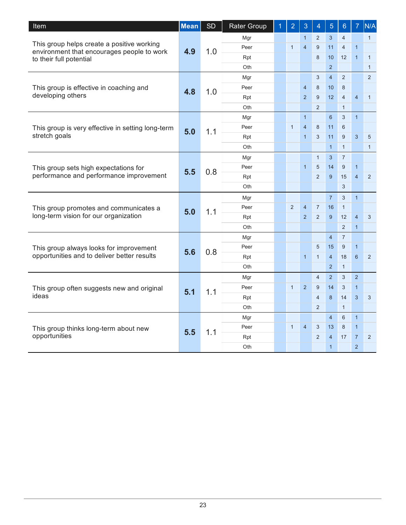| <b>Item</b>                                                                              | <b>Mean</b> | <b>SD</b>  | Rater Group | 1   | $\overline{2}$ | 3              | $\overline{4}$ | 5              | $6\phantom{.}6$ | $\overline{7}$ | N/A            |              |              |
|------------------------------------------------------------------------------------------|-------------|------------|-------------|-----|----------------|----------------|----------------|----------------|-----------------|----------------|----------------|--------------|--------------|
| This group helps create a positive working<br>environment that encourages people to work |             | 4.9<br>1.0 | Mgr         |     |                | $\mathbf{1}$   | 2              | 3              | $\overline{4}$  |                | $\mathbf{1}$   |              |              |
|                                                                                          |             |            | Peer        |     | $\mathbf{1}$   | $\overline{4}$ | 9              | 11             | $\overline{4}$  | $\mathbf{1}$   |                |              |              |
| to their full potential                                                                  |             |            | Rpt         |     |                |                | 8              | 10             | 12              | $\overline{1}$ | $\mathbf{1}$   |              |              |
|                                                                                          |             |            | Oth         |     |                |                |                | $\overline{2}$ |                 |                | $\mathbf{1}$   |              |              |
|                                                                                          |             |            | Mgr         |     |                |                | 3              | $\overline{4}$ | 2               |                | $\overline{2}$ |              |              |
| This group is effective in coaching and                                                  | 4.8         | 1.0        | Peer        |     |                | $\overline{4}$ | 8              | 10             | 8               |                |                |              |              |
| developing others                                                                        |             |            | Rpt         |     |                | $\overline{2}$ | 9              | 12             | $\overline{4}$  | $\overline{4}$ | $\mathbf{1}$   |              |              |
|                                                                                          |             |            | Oth         |     |                |                | $\overline{2}$ |                | $\mathbf{1}$    |                |                |              |              |
|                                                                                          |             |            | Mgr         |     |                | $\mathbf{1}$   |                | 6              | 3               | $\mathbf{1}$   |                |              |              |
| This group is very effective in setting long-term                                        | 5.0         | 1.1        | Peer        |     | $\mathbf{1}$   | $\overline{4}$ | 8              | 11             | 6               |                |                |              |              |
| stretch goals                                                                            |             |            | Rpt         |     |                | $\mathbf{1}$   | 3              | 11             | 9               | 3              | 5              |              |              |
|                                                                                          |             |            | Oth         |     |                |                |                | $\mathbf{1}$   | $\mathbf{1}$    |                | $\mathbf{1}$   |              |              |
|                                                                                          |             |            | Mgr         |     |                |                | $\mathbf{1}$   | $\mathbf{3}$   | $\overline{7}$  |                |                |              |              |
| This group sets high expectations for                                                    | 5.5         | 0.8        | Peer        |     |                | $\mathbf{1}$   | 5              | 14             | 9               | $\mathbf{1}$   |                |              |              |
| performance and performance improvement                                                  |             |            | Rpt         |     |                |                | 2              | 9              | 15              | $\overline{4}$ | $\overline{2}$ |              |              |
|                                                                                          |             |            | Oth         |     |                |                |                |                | 3               |                |                |              |              |
|                                                                                          | 5.0         |            |             | Mgr |                |                |                |                | $\overline{7}$  | 3              | $\mathbf{1}$   |              |              |
| This group promotes and communicates a                                                   |             |            |             |     | 1.1            | Peer           |                | 2              | $\overline{4}$  | $\overline{7}$ | 16             | $\mathbf{1}$ |              |
| long-term vision for our organization                                                    |             |            | Rpt         |     |                | $\overline{2}$ | 2              | 9              | 12              | $\overline{4}$ | 3              |              |              |
|                                                                                          |             |            | Oth         |     |                |                |                |                | $\overline{2}$  | $\mathbf{1}$   |                |              |              |
|                                                                                          |             |            | Mgr         |     |                |                |                | $\overline{4}$ | $\overline{7}$  |                |                |              |              |
| This group always looks for improvement                                                  |             | 5.6        |             |     | 0.8            | Peer           |                |                |                 | 5              | 15             | 9            | $\mathbf{1}$ |
| opportunities and to deliver better results                                              |             |            | Rpt         |     |                | $\mathbf{1}$   | $\mathbf{1}$   | $\overline{4}$ | 18              | 6              | $\overline{2}$ |              |              |
|                                                                                          |             |            | Oth         |     |                |                |                | 2              | $\mathbf{1}$    |                |                |              |              |
|                                                                                          |             |            | Mgr         |     |                |                | $\overline{4}$ | $\overline{2}$ | 3               | $\overline{2}$ |                |              |              |
| This group often suggests new and original                                               | 5.1         | 1.1        | Peer        |     | $\mathbf{1}$   | $\overline{2}$ | 9              | 14             | 3               | $\mathbf{1}$   |                |              |              |
| ideas                                                                                    |             |            | Rpt         |     |                |                | $\overline{4}$ | 8              | 14              | 3              | 3              |              |              |
|                                                                                          |             |            | Oth         |     |                |                | $\overline{2}$ |                | $\mathbf{1}$    |                |                |              |              |
|                                                                                          |             |            | Mgr         |     |                |                |                | $\overline{4}$ | 6               | $\mathbf{1}$   |                |              |              |
| This group thinks long-term about new                                                    |             |            | Peer        |     | $\mathbf{1}$   | 4              | 3              | 13             | 8               | $\mathbf{1}$   |                |              |              |
| opportunities                                                                            | 5.5         | 1.1        | Rpt         |     |                |                | 2              | $\overline{4}$ | 17              | $\overline{7}$ | $\overline{2}$ |              |              |
|                                                                                          |             |            | Oth         |     |                |                |                | $\mathbf{1}$   |                 | $\overline{2}$ |                |              |              |